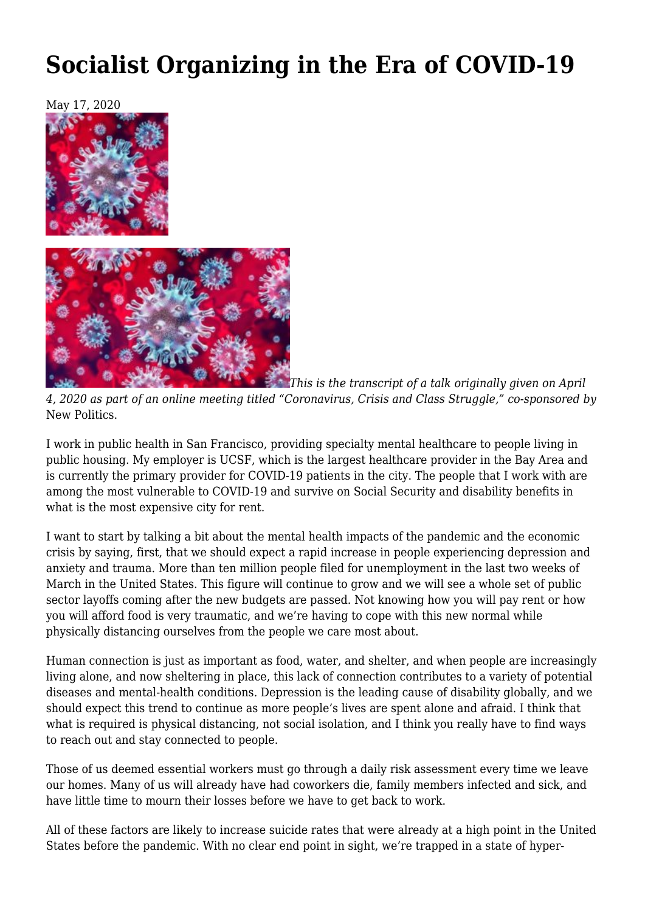## **[Socialist Organizing in the Era of COVID-19](https://newpol.org/socialist-organizing-in-the-era-of-covid-19/)**



*This is the transcript of a talk originally given on April 4, 2020 as part of an online meeting titled "[Coronavirus, Crisis and Class Struggle](https://wearemany.org/a/0/0/coronavirus-capitalism-and-class-struggle)," co-sponsored by* New Politics.

I work in public health in San Francisco, providing specialty mental healthcare to people living in public housing. My employer is UCSF, which is the largest healthcare provider in the Bay Area and is currently the primary provider for COVID-19 patients in the city. The people that I work with are among the most vulnerable to COVID-19 and survive on Social Security and disability benefits in what is the most expensive city for rent.

I want to start by talking a bit about the mental health impacts of the pandemic and the economic crisis by saying, first, that we should expect a rapid increase in people experiencing depression and anxiety and trauma. More than ten million people filed for unemployment in the last two weeks of March in the United States. This figure will continue to grow and we will see a whole set of public sector layoffs coming after the new budgets are passed. Not knowing how you will pay rent or how you will afford food is very traumatic, and we're having to cope with this new normal while physically distancing ourselves from the people we care most about.

Human connection is just as important as food, water, and shelter, and when people are increasingly living alone, and now sheltering in place, this lack of connection contributes to a variety of potential diseases and mental-health conditions. Depression is the leading cause of disability globally, and we should expect this trend to continue as more people's lives are spent alone and afraid. I think that what is required is physical distancing, not social isolation, and I think you really have to find ways to reach out and stay connected to people.

Those of us deemed essential workers must go through a daily risk assessment every time we leave our homes. Many of us will already have had coworkers die, family members infected and sick, and have little time to mourn their losses before we have to get back to work.

All of these factors are likely to increase suicide rates that were already at a high point in the United States before the pandemic. With no clear end point in sight, we're trapped in a state of hyper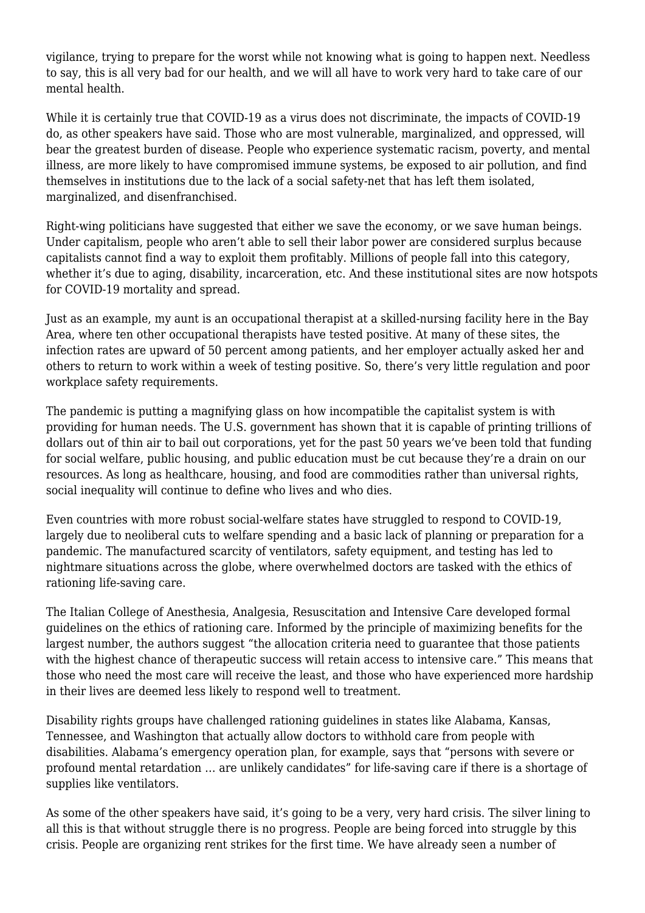vigilance, trying to prepare for the worst while not knowing what is going to happen next. Needless to say, this is all very bad for our health, and we will all have to work very hard to take care of our mental health.

While it is certainly true that COVID-19 as a virus does not discriminate, the impacts of COVID-19 do, [as other speakers have said.](https://newpol.org/coronavirus-and-racism/) Those who are most vulnerable, marginalized, and oppressed, will bear the greatest burden of disease. People who experience systematic racism, poverty, and mental illness, are more likely to have compromised immune systems, be exposed to air pollution, and find themselves in institutions due to the lack of a social safety-net that has left them isolated, marginalized, and disenfranchised.

Right-wing politicians have suggested that either we save the economy, or we save human beings. Under capitalism, people who aren't able to sell their labor power are considered surplus because capitalists cannot find a way to exploit them profitably. Millions of people fall into this category, whether it's due to aging, disability, incarceration, etc. And these institutional sites are now hotspots for COVID-19 mortality and spread.

Just as an example, my aunt is an occupational therapist at a skilled-nursing facility here in the Bay Area, where ten other occupational therapists have tested positive. At many of these sites, the infection rates are upward of 50 percent among patients, and her employer actually asked her and others to return to work within a week of testing positive. So, there's very little regulation and poor workplace safety requirements.

The pandemic is putting a magnifying glass on how incompatible the capitalist system is with providing for human needs. The U.S. government has shown that it is capable of printing trillions of dollars out of thin air to bail out corporations, yet for the past 50 years we've been told that funding for social welfare, public housing, and public education must be cut because they're a drain on our resources. As long as healthcare, housing, and food are commodities rather than universal rights, social inequality will continue to define who lives and who dies.

Even countries with more robust social-welfare states have struggled to respond to COVID-19, largely due to neoliberal cuts to welfare spending and a basic lack of planning or preparation for a pandemic. The manufactured scarcity of ventilators, safety equipment, and testing has led to nightmare situations across the globe, where overwhelmed doctors are tasked with the ethics of rationing life-saving care.

The Italian College of Anesthesia, Analgesia, Resuscitation and Intensive Care developed [formal](https://www.smh.com.au/world/europe/italian-doctors-propose-intensive-care-age-limit-to-save-younger-patients-20200312-p5499t.html) [guidelines](https://www.smh.com.au/world/europe/italian-doctors-propose-intensive-care-age-limit-to-save-younger-patients-20200312-p5499t.html) on the ethics of rationing care. Informed by the principle of maximizing benefits for the largest number, the authors suggest "the allocation criteria need to guarantee that those patients with the highest chance of therapeutic success will retain access to intensive care." This means that those who need the most care will receive the least, and those who have experienced more hardship in their lives are deemed less likely to respond well to treatment.

Disability rights groups have challenged rationing guidelines in states like Alabama, Kansas, Tennessee, and Washington that actually allow doctors to withhold care from people with disabilities. [Alabama's emergency operation plan](https://www.propublica.org/article/people-with-intellectual-disabilities-may-be-denied-lifesaving-care-under-these-plans-as-coronavirus-spreads), for example, says that "persons with severe or profound mental retardation … are unlikely candidates" for life-saving care if there is a shortage of supplies like ventilators.

As some of the other speakers have said, [it's going to be a very, very hard crisis.](https://newpol.org/coronavirus-crisis-and-class-struggle-1-david-mcnally/) The silver lining to all this is that without struggle there is no progress. People are being forced into struggle by this crisis. People are organizing rent strikes for the first time. We have already seen a number of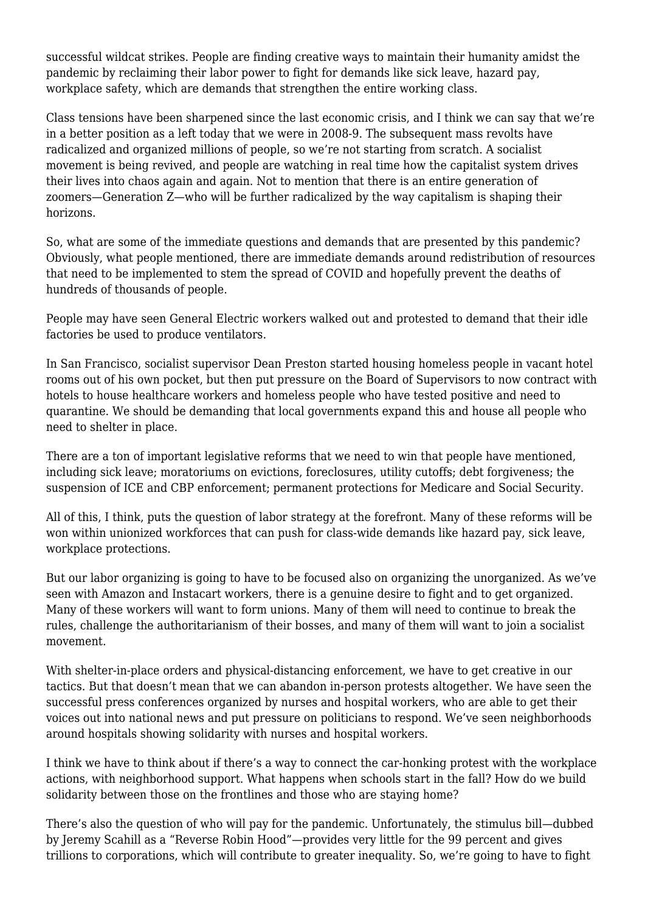successful wildcat strikes. People are finding creative ways to maintain their humanity amidst the pandemic by reclaiming their labor power to fight for demands like sick leave, hazard pay, workplace safety, which are demands that strengthen the entire working class.

Class tensions have been sharpened since the last economic crisis, and I think we can say that we're in a better position as a left today that we were in 2008-9. The subsequent mass revolts have radicalized and organized millions of people, so we're not starting from scratch. [A socialist](https://www.theatlantic.com/politics/archive/2020/05/dsa-growing-during-coronavirus/611599/) [movement is being revived,](https://www.theatlantic.com/politics/archive/2020/05/dsa-growing-during-coronavirus/611599/) and people are watching in real time how the capitalist system drives their lives into chaos again and again. Not to mention that there is an entire generation of zoomers—Generation Z—who will be further radicalized by the way capitalism is shaping their horizons.

So, what are some of the immediate questions and demands that are presented by this pandemic? Obviously, what people mentioned, there are immediate demands around redistribution of resources that need to be implemented to stem the spread of COVID and hopefully prevent the deaths of hundreds of thousands of people.

People may have seen [General Electric workers walked out](https://www.thedailybeast.com/general-electric-factory-workers-stage-walkout-demanding-ventilator-production) and protested to demand that their idle factories be used to produce ventilators.

In San Francisco, socialist supervisor Dean Preston started [housing homeless people in vacant hotel](https://www.sfexaminer.com/news/supervisor-nonprofit-move-homeless-from-shelter-into-hotel-rooms/) [rooms](https://www.sfexaminer.com/news/supervisor-nonprofit-move-homeless-from-shelter-into-hotel-rooms/) out of his own pocket, but then put pressure on the Board of Supervisors to now contract with hotels to house healthcare workers and homeless people who have tested positive and need to quarantine. We should be demanding that local governments expand this and house all people who need to shelter in place.

There are a ton of important legislative reforms that we need to win that people have mentioned, including sick leave; moratoriums on evictions, foreclosures, utility cutoffs; debt forgiveness; the suspension of ICE and CBP enforcement; permanent protections for Medicare and Social Security.

All of this, I think, puts the question of labor strategy at the forefront. Many of these reforms will be won within unionized workforces that can push for class-wide demands like hazard pay, sick leave, workplace protections.

But our labor organizing is going to have to be focused also on organizing the unorganized. As we've seen with Amazon and Instacart workers, there is a genuine desire to fight and to get organized. Many of these workers will want to form unions. Many of them will need to continue to break the rules, challenge the authoritarianism of their bosses, and many of them will want to join a socialist movement.

With shelter-in-place orders and physical-distancing enforcement, we have to get creative in our tactics. But that doesn't mean that we can abandon in-person protests altogether. We have seen the successful press conferences organized by nurses and hospital workers, who are able to get their voices out into national news and put pressure on politicians to respond. We've seen neighborhoods around hospitals showing solidarity with nurses and hospital workers.

I think we have to think about if there's a way to connect the car-honking protest with the workplace actions, with neighborhood support. What happens when schools start in the fall? How do we build solidarity between those on the frontlines and those who are staying home?

There's also the question of who will pay for the pandemic. Unfortunately, the stimulus bill—dubbed by Jeremy Scahill as a "[Reverse Robin Hood](https://theintercept.com/2020/04/01/essential-workers-and-the-reverse-robin-hood-coronavirus-bailout/)"—provides very little for the 99 percent and gives trillions to corporations, which will contribute to greater inequality. So, we're going to have to fight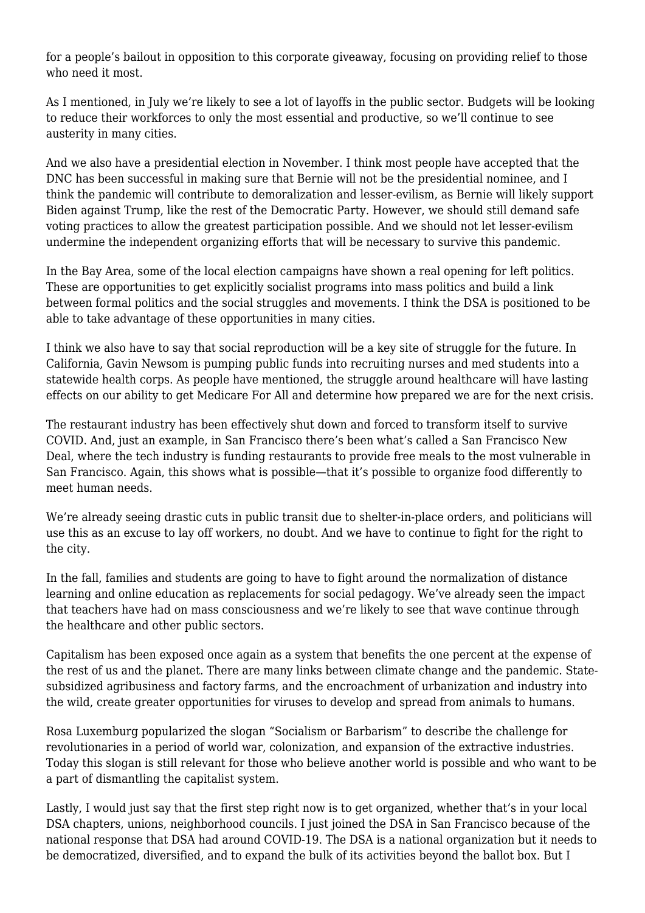for a people's bailout in opposition to this corporate giveaway, focusing on providing relief to those who need it most.

As I mentioned, in July we're likely to see a lot of layoffs in the public sector. Budgets will be looking to reduce their workforces to only the most essential and productive, so we'll continue to see austerity in many cities.

And we also have a presidential election in November. I think most people have accepted that the DNC has been successful in making sure that Bernie will not be the presidential nominee, and I think the pandemic will contribute to demoralization and lesser-evilism, as Bernie will likely support Biden against Trump, like the rest of the Democratic Party. However, we should still demand safe voting practices to allow the greatest participation possible. And we should not let lesser-evilism undermine the independent organizing efforts that will be necessary to survive this pandemic.

In the Bay Area, some of the local election campaigns have shown a real opening for left politics. These are opportunities to get explicitly socialist programs into mass politics and build a link between formal politics and the social struggles and movements. I think the DSA is positioned to be able to take advantage of these opportunities in many cities.

I think we also have to say that social reproduction will be a key site of struggle for the future. In California, Gavin Newsom is pumping public funds into recruiting nurses and med students into a [statewide health corps.](https://www.gov.ca.gov/2020/03/30/governor-newsom-announces-california-health-corps-a-major-initiative-to-expand-health-care-workforce-to-fight-covid-19/) As people have mentioned, the struggle around healthcare will have lasting effects on [our ability to get Medicare For All](https://newpol.org/neoliberal-healthcare-fails-the-covid-test/) and determine how prepared we are for the next crisis.

The restaurant industry has been effectively shut down and forced to transform itself to survive COVID. And, just an example, in San Francisco there's been what's called a [San Francisco New](https://sfnewdeal.org/) [Deal](https://sfnewdeal.org/), where the tech industry is funding restaurants to provide free meals to the most vulnerable in San Francisco. Again, this shows what is possible—that it's possible to organize food differently to meet human needs.

We're already seeing drastic cuts in public transit due to shelter-in-place orders, and politicians will use this as an excuse to lay off workers, no doubt. And we have to continue to fight for the right to the city.

In the fall, families and students are going to have to fight around the normalization of distance learning and online education as replacements for social pedagogy. We've already seen the [impact](https://jacobinmag.com/2019/03/a-different-kind-of-teachers-strike-wave) [that teachers have had on mass consciousness](https://jacobinmag.com/2019/03/a-different-kind-of-teachers-strike-wave) and we're likely to see that wave continue through the healthcare and other public sectors.

Capitalism has been exposed once again as a system that benefits the one percent at the expense of the rest of us and the planet. There are many links between [climate change and the pandemic](https://indianapublicmedia.org/news/how-climate-change-increases-our-risk-for-pandemics.php). Statesubsidized agribusiness and factory farms, and the encroachment of urbanization and industry into the wild, create greater opportunities for viruses to develop and spread from animals to humans.

Rosa Luxemburg popularized the slogan "Socialism or Barbarism" to describe the challenge for revolutionaries in a period of world war, colonization, and expansion of the extractive industries. Today this slogan is still relevant for those who believe another world is possible and who want to be a part of dismantling the capitalist system.

Lastly, I would just say that the first step right now is to get organized, whether that's in your local DSA chapters, unions, neighborhood councils. I just joined the DSA in San Francisco because of the national response that DSA had around COVID-19. The DSA is a national organization but it needs to be democratized, diversified, and to expand the bulk of its activities beyond the ballot box. But I